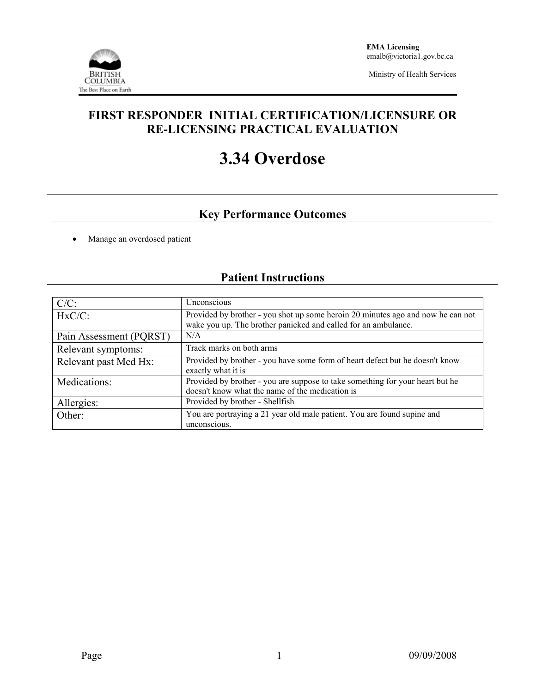

Ministry of Health Services

### **FIRST RESPONDER INITIAL CERTIFICATION/LICENSURE OR RE-LICENSING PRACTICAL EVALUATION**

# **3.34 Overdose**

## **Key Performance Outcomes**

• Manage an overdosed patient

# **Patient Instructions**

| $C/C$ :                 | Unconscious                                                                                                                                       |  |  |  |
|-------------------------|---------------------------------------------------------------------------------------------------------------------------------------------------|--|--|--|
| $HxC/C$ :               | Provided by brother - you shot up some heroin 20 minutes ago and now he can not<br>wake you up. The brother panicked and called for an ambulance. |  |  |  |
| Pain Assessment (PQRST) | N/A                                                                                                                                               |  |  |  |
| Relevant symptoms:      | Track marks on both arms                                                                                                                          |  |  |  |
| Relevant past Med Hx:   | Provided by brother - you have some form of heart defect but he doesn't know<br>exactly what it is                                                |  |  |  |
| Medications:            | Provided by brother - you are suppose to take something for your heart but he<br>doesn't know what the name of the medication is                  |  |  |  |
| Allergies:              | Provided by brother - Shellfish                                                                                                                   |  |  |  |
| Other:                  | You are portraying a 21 year old male patient. You are found supine and<br>unconscious.                                                           |  |  |  |